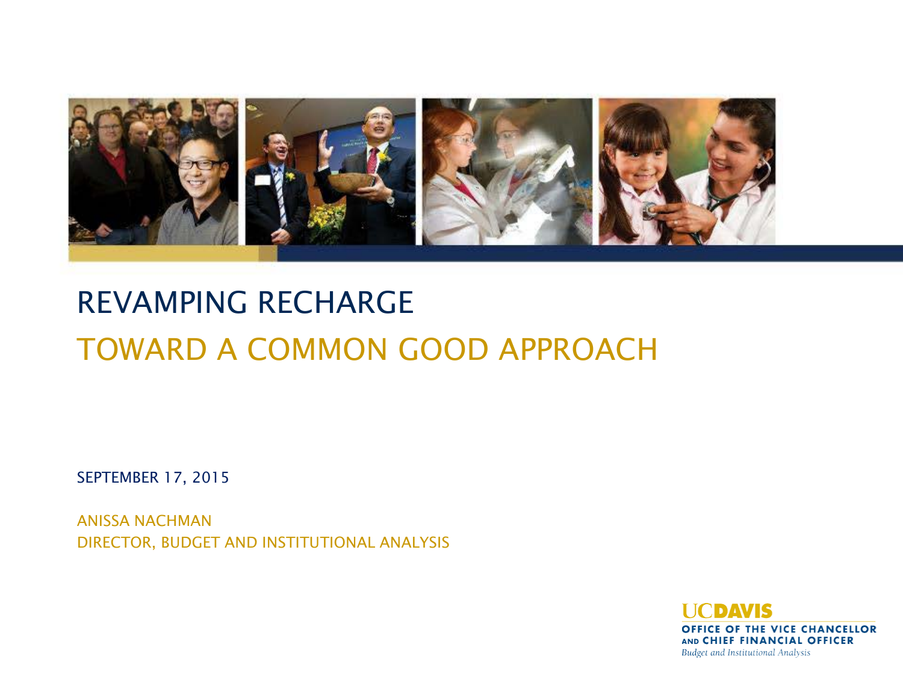

# REVAMPING RECHARGE TOWARD A COMMON GOOD APPROACH

SEPTEMBER 17, 2015

ANISSA NACHMAN DIRECTOR, BUDGET AND INSTITUTIONAL ANALYSIS

> **I ICDAVIS** OFFICE OF THE VICE CHANCELLOR AND CHIEF FINANCIAL OFFICER Budget and Institutional Analysis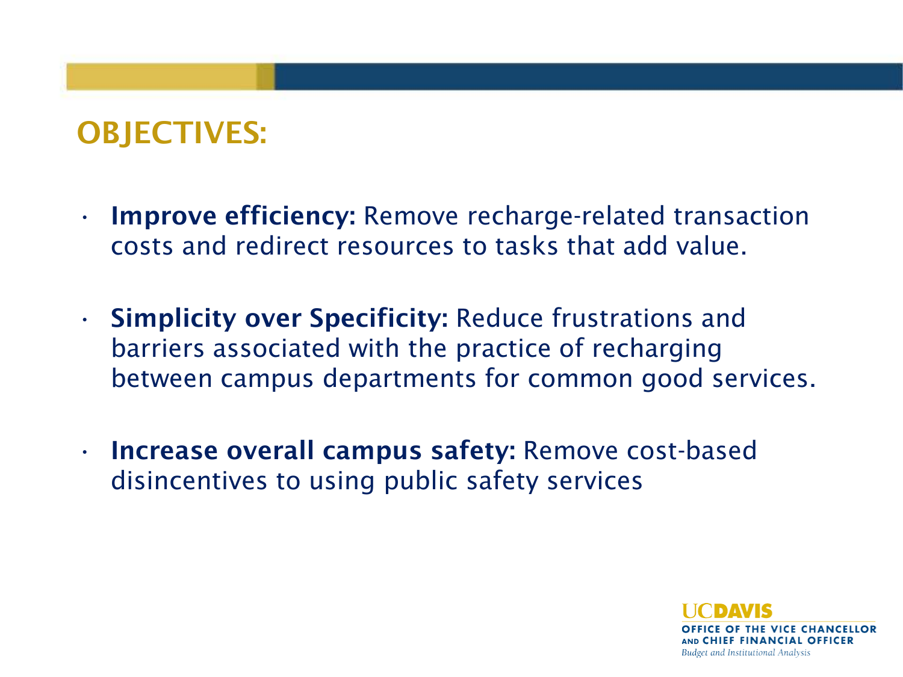# OBJECTIVES:

- Improve efficiency: Remove recharge-related transaction costs and redirect resources to tasks that add value.
- Simplicity over Specificity: Reduce frustrations and barriers associated with the practice of recharging between campus departments for common good services.
- Increase overall campus safety: Remove cost-based disincentives to using public safety services

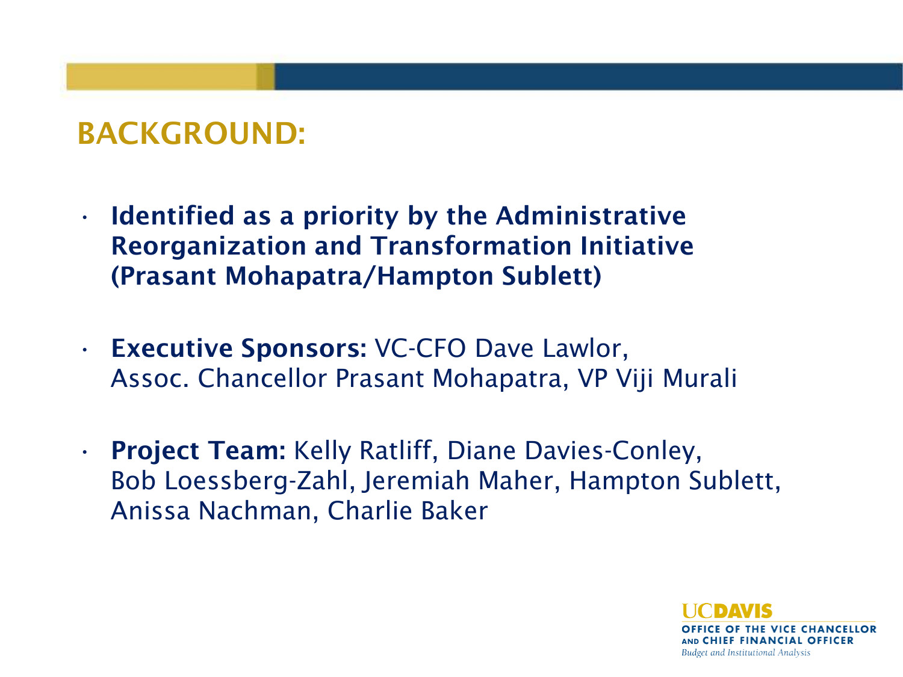### BACKGROUND:

- Identified as a priority by the Administrative Reorganization and Transformation Initiative (Prasant Mohapatra/Hampton Sublett)
- Executive Sponsors: VC-CFO Dave Lawlor, Assoc. Chancellor Prasant Mohapatra, VP Viji Murali
- Project Team: Kelly Ratliff, Diane Davies-Conley, Bob Loessberg-Zahl, Jeremiah Maher, Hampton Sublett, Anissa Nachman, Charlie Baker

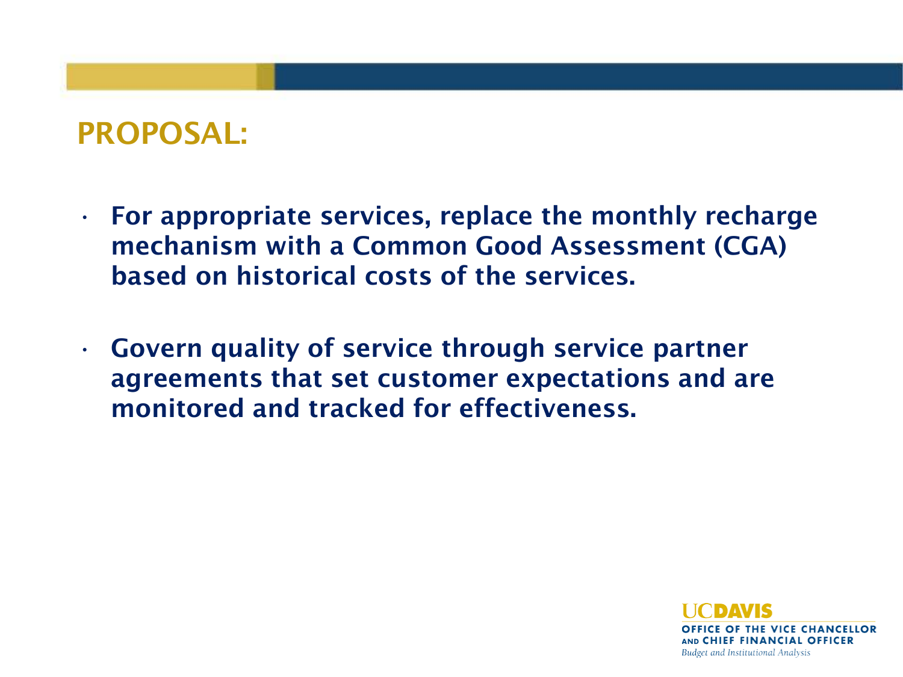### PROPOSAL:

- For appropriate services, replace the monthly recharge mechanism with a Common Good Assessment (CGA) based on historical costs of the services.
- Govern quality of service through service partner agreements that set customer expectations and are monitored and tracked for effectiveness.

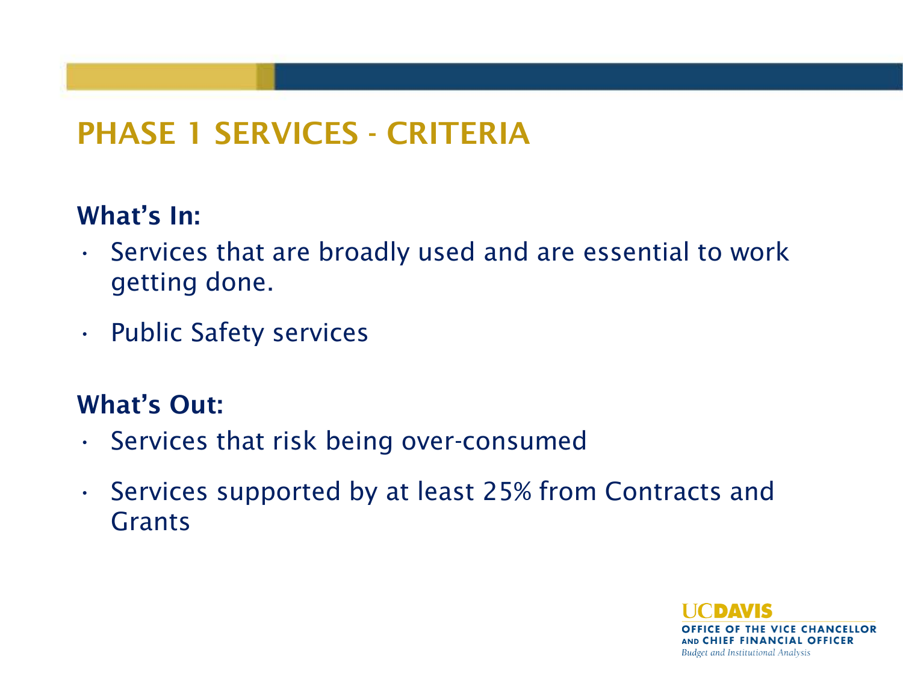# PHASE 1 SERVICES - CRITERIA

#### What's In:

- Services that are broadly used and are essential to work getting done.
- Public Safety services

#### What's Out:

- Services that risk being over-consumed
- Services supported by at least 25% from Contracts and Grants

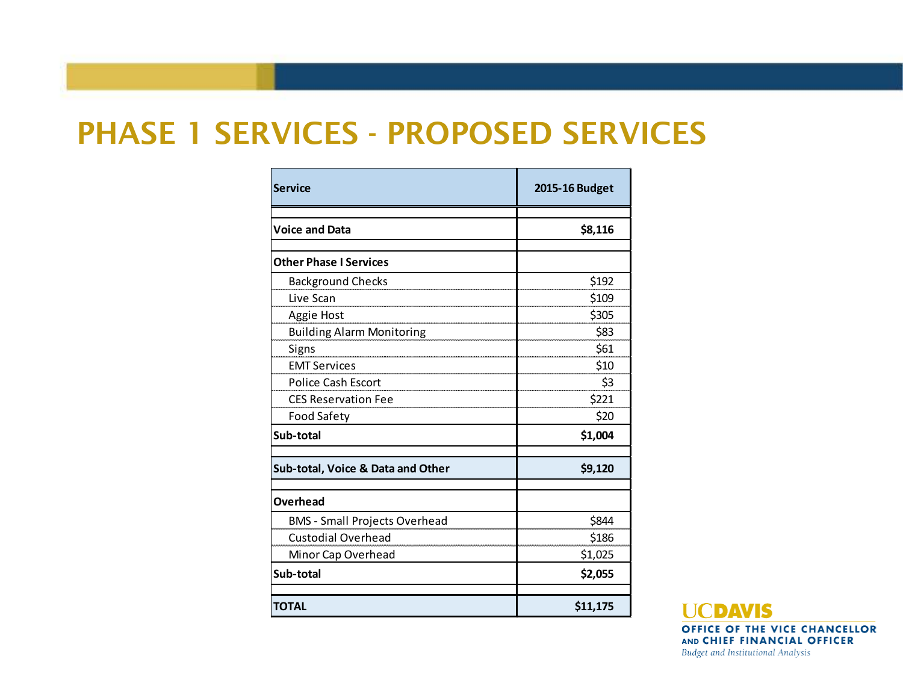#### PHASE 1 SERVICES - PROPOSED SERVICES

| <b>Service</b>                       | 2015-16 Budget |
|--------------------------------------|----------------|
| <b>Voice and Data</b>                | \$8,116        |
| <b>Other Phase I Services</b>        |                |
| <b>Background Checks</b>             | \$192          |
| Live Scan                            | \$109          |
| Aggie Host                           | \$305          |
| <b>Building Alarm Monitoring</b>     | \$83           |
| Signs                                | \$61           |
| <b>EMT Services</b>                  | \$10           |
| Police Cash Escort                   | \$3            |
| <b>CES Reservation Fee</b>           | \$221          |
| <b>Food Safety</b>                   | \$20           |
| Sub-total                            | \$1,004        |
| Sub-total, Voice & Data and Other    | \$9,120        |
| Overhead                             |                |
| <b>BMS - Small Projects Overhead</b> | \$844          |
| <b>Custodial Overhead</b>            | \$186          |
| Minor Cap Overhead                   | \$1,025        |
| Sub-total                            | \$2,055        |
| <b>TOTAL</b>                         | \$11,175       |

**TICDAVIS** OFFICE OF THE VICE CHANCELLOR AND CHIEF FINANCIAL OFFICER Budget and Institutional Analysis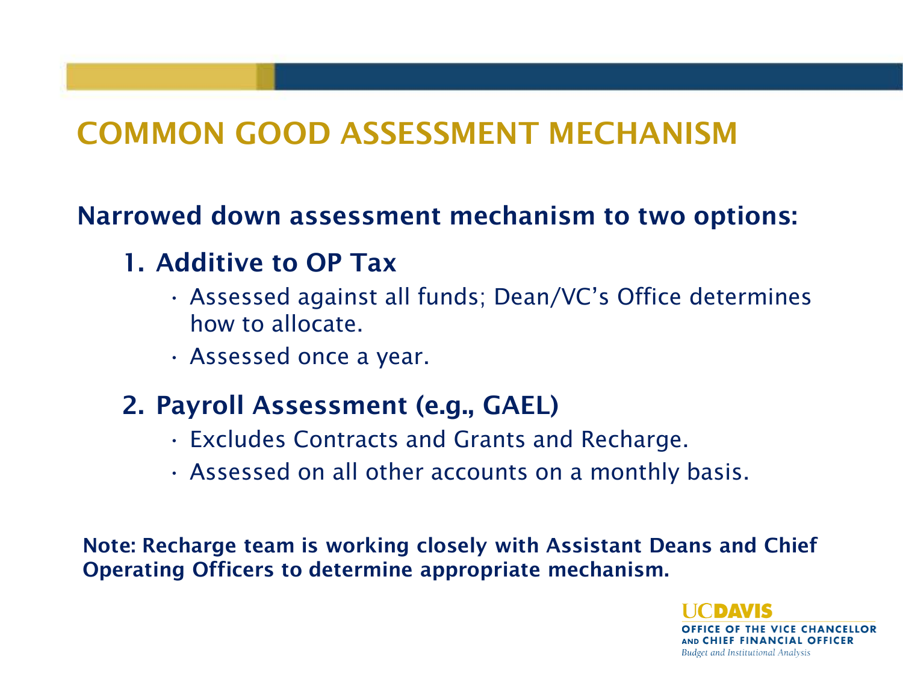## COMMON GOOD ASSESSMENT MECHANISM

#### Narrowed down assessment mechanism to two options:

#### 1. Additive to OP Tax

- Assessed against all funds; Dean/VC's Office determines how to allocate.
- Assessed once a year.

#### 2. Payroll Assessment (e.g., GAEL)

- Excludes Contracts and Grants and Recharge.
- Assessed on all other accounts on a monthly basis.

Note: Recharge team is working closely with Assistant Deans and Chief Operating Officers to determine appropriate mechanism.

> OFFICE OF THE VICE CHANCELLOR AND CHIEF FINANCIAL OFFICER Budget and Institutional Analysis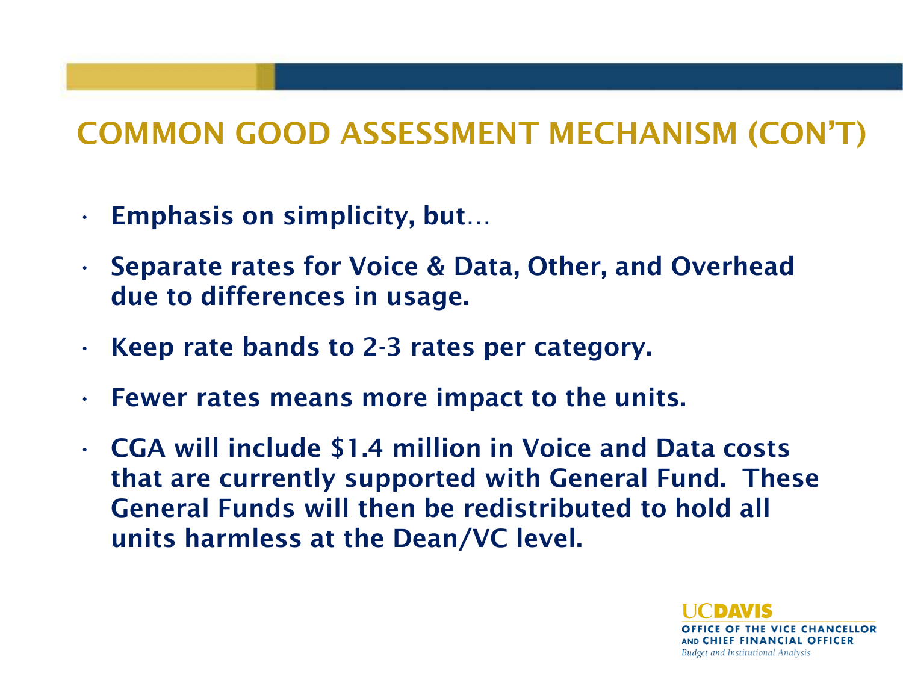# COMMON GOOD ASSESSMENT MECHANISM (CON'T)

- Emphasis on simplicity, but…
- Separate rates for Voice & Data, Other, and Overhead due to differences in usage.
- Keep rate bands to 2-3 rates per category.
- Fewer rates means more impact to the units.
- CGA will include \$1.4 million in Voice and Data costs that are currently supported with General Fund. These General Funds will then be redistributed to hold all units harmless at the Dean/VC level.

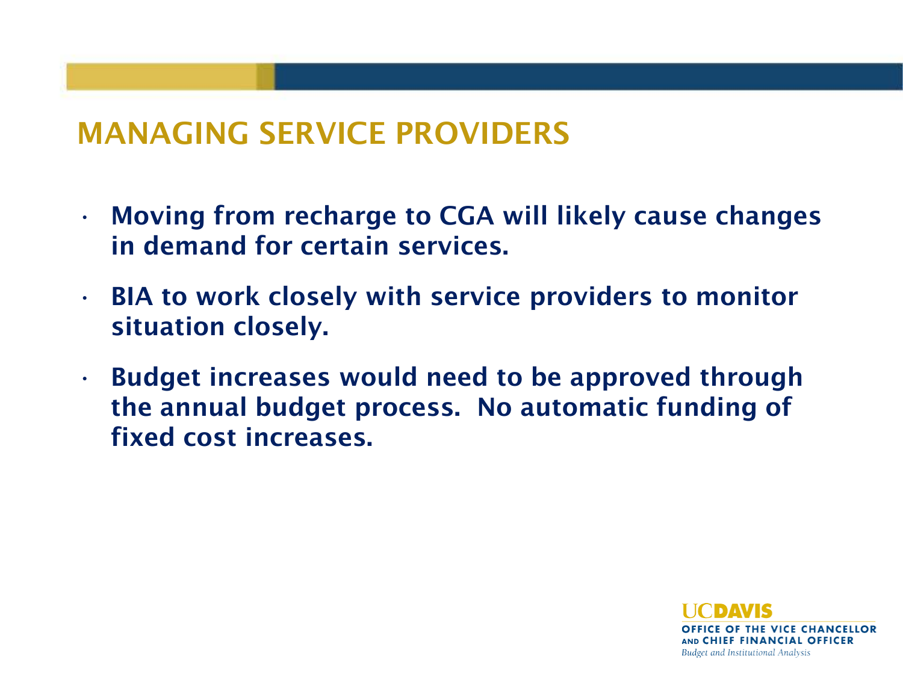### MANAGING SERVICE PROVIDERS

- Moving from recharge to CGA will likely cause changes in demand for certain services.
- BIA to work closely with service providers to monitor situation closely.
- Budget increases would need to be approved through the annual budget process. No automatic funding of fixed cost increases.

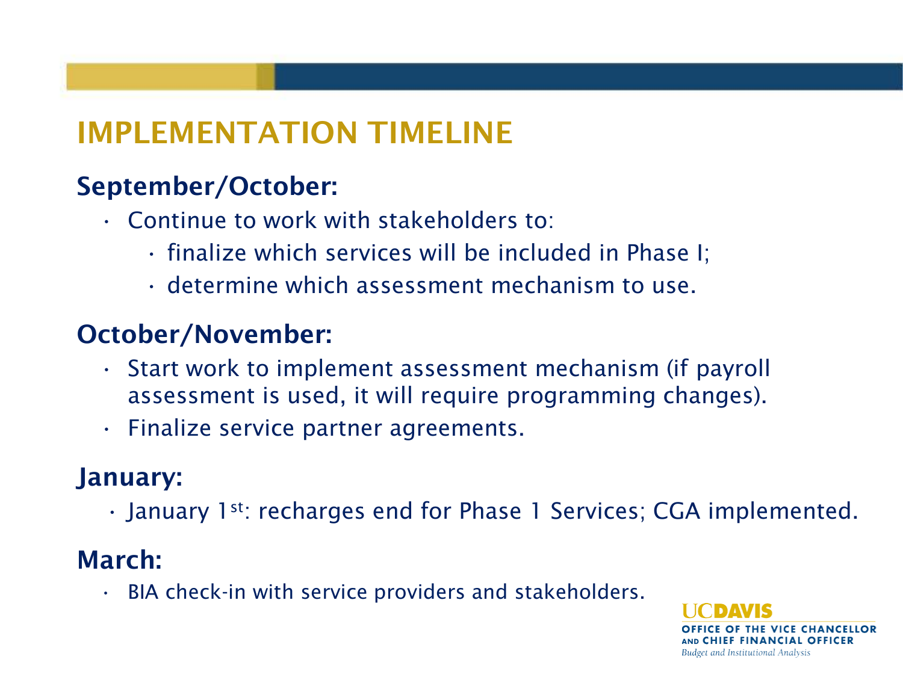# IMPLEMENTATION TIMELINE

#### September/October:

- Continue to work with stakeholders to:
	- finalize which services will be included in Phase I;
	- determine which assessment mechanism to use.

#### October/November:

- Start work to implement assessment mechanism (if payroll assessment is used, it will require programming changes).
- Finalize service partner agreements.

#### January:

• January 1st: recharges end for Phase 1 Services; CGA implemented.

#### March:

• BIA check-in with service providers and stakeholders.

CE OF THE VICE CHANCELLOR AND CHIEF FINANCIAL OFFICER Budget and Institutional Analysis